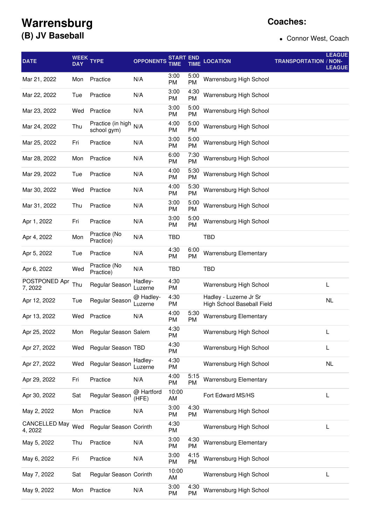## **Warrensburg (B) JV Baseball**

## **Coaches:**

Connor West, Coach

| <b>DATE</b>                     | WEEK<br><b>DAY</b> | <b>TYPE</b>                      | <b>OPPONENTS</b>     | START<br>TIME     | <b>TIME</b>       | <b>LOCATION</b>                                      | <b>TRANSPORTATION / NON-</b> | <b>LEAGUE</b><br><b>LEAGUE</b> |
|---------------------------------|--------------------|----------------------------------|----------------------|-------------------|-------------------|------------------------------------------------------|------------------------------|--------------------------------|
| Mar 21, 2022                    | Mon                | Practice                         | N/A                  | 3:00<br>PM        | 5:00<br><b>PM</b> | Warrensburg High School                              |                              |                                |
| Mar 22, 2022                    | Tue                | Practice                         | N/A                  | 3:00<br>PM        | 4:30<br><b>PM</b> | Warrensburg High School                              |                              |                                |
| Mar 23, 2022                    | Wed                | Practice                         | N/A                  | 3:00<br>PM        | 5:00<br><b>PM</b> | Warrensburg High School                              |                              |                                |
| Mar 24, 2022                    | Thu                | Practice (in high<br>school gym) | N/A                  | 4:00<br>PM        | 5:00<br><b>PM</b> | Warrensburg High School                              |                              |                                |
| Mar 25, 2022                    | Fri                | Practice                         | N/A                  | 3:00<br>PM        | 5:00<br>PM        | Warrensburg High School                              |                              |                                |
| Mar 28, 2022                    | Mon                | Practice                         | N/A                  | 6:00<br>PM        | 7:30<br>PM        | Warrensburg High School                              |                              |                                |
| Mar 29, 2022                    | Tue                | Practice                         | N/A                  | 4:00<br>PM        | 5:30<br>PM        | Warrensburg High School                              |                              |                                |
| Mar 30, 2022                    | Wed                | Practice                         | N/A                  | 4:00<br>PM        | 5:30<br>PM        | Warrensburg High School                              |                              |                                |
| Mar 31, 2022                    | Thu                | Practice                         | N/A                  | 3:00<br>PM        | 5:00<br><b>PM</b> | Warrensburg High School                              |                              |                                |
| Apr 1, 2022                     | Fri                | Practice                         | N/A                  | 3:00<br>PM        | 5:00<br>PM        | Warrensburg High School                              |                              |                                |
| Apr 4, 2022                     | Mon                | Practice (No<br>Practice)        | N/A                  | TBD               |                   | TBD                                                  |                              |                                |
| Apr 5, 2022                     | Tue                | Practice                         | N/A                  | 4:30<br>PM        | 6:00<br><b>PM</b> | <b>Warrensburg Elementary</b>                        |                              |                                |
| Apr 6, 2022                     | Wed                | Practice (No<br>Practice)        | N/A                  | TBD               |                   | TBD                                                  |                              |                                |
| POSTPONED Apr<br>7, 2022        | Thu                | Regular Season                   | Hadley-<br>Luzerne   | 4:30<br><b>PM</b> |                   | Warrensburg High School                              |                              | L                              |
| Apr 12, 2022                    | Tue                | Regular Season                   | @ Hadley-<br>Luzerne | 4:30<br>PM        |                   | Hadley - Luzerne Jr Sr<br>High School Baseball Field |                              | <b>NL</b>                      |
| Apr 13, 2022                    | Wed                | Practice                         | N/A                  | 4:00<br>PM        | 5:30<br><b>PM</b> | <b>Warrensburg Elementary</b>                        |                              |                                |
| Apr 25, 2022                    | Mon                | Regular Season Salem             |                      | 4:30<br>PM        |                   | Warrensburg High School                              |                              | L                              |
| Apr 27, 2022                    | Wed                | Regular Season TBD               |                      | 4:30<br>PM        |                   | Warrensburg High School                              |                              | L                              |
| Apr 27, 2022                    | Wed                | Regular Season                   | Hadley-<br>Luzerne   | 4:30<br>PM        |                   | Warrensburg High School                              |                              | <b>NL</b>                      |
| Apr 29, 2022                    | Fri                | Practice                         | N/A                  | 4:00<br><b>PM</b> | 5:15<br><b>PM</b> | <b>Warrensburg Elementary</b>                        |                              |                                |
| Apr 30, 2022                    | Sat                | Regular Season                   | @ Hartford<br>(HFE)  | 10:00<br>AM       |                   | Fort Edward MS/HS                                    |                              | L                              |
| May 2, 2022                     | Mon                | Practice                         | N/A                  | 3:00<br>PM        | 4:30<br><b>PM</b> | Warrensburg High School                              |                              |                                |
| <b>CANCELLED May</b><br>4, 2022 | Wed                | Regular Season Corinth           |                      | 4:30<br>PM        |                   | Warrensburg High School                              |                              | L                              |
| May 5, 2022                     | Thu                | Practice                         | N/A                  | 3:00<br><b>PM</b> | 4:30<br>PM        | <b>Warrensburg Elementary</b>                        |                              |                                |
| May 6, 2022                     | Fri                | Practice                         | N/A                  | 3:00<br>PM        | 4:15<br><b>PM</b> | Warrensburg High School                              |                              |                                |
| May 7, 2022                     | Sat                | Regular Season Corinth           |                      | 10:00<br>AM       |                   | Warrensburg High School                              |                              | L                              |
| May 9, 2022                     | Mon                | Practice                         | N/A                  | 3:00<br>PM        | 4:30<br><b>PM</b> | Warrensburg High School                              |                              |                                |